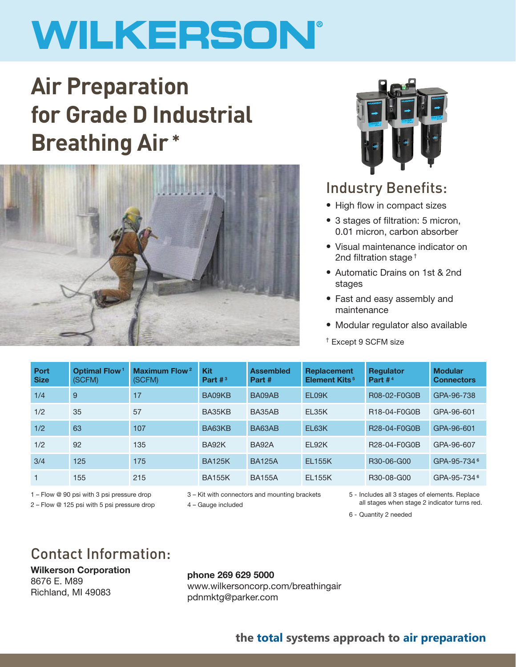# WILKERSON®

# **Air Preparation for Grade D Industrial Breathing Air \***





### Industry Benefits:

- High flow in compact sizes
- 3 stages of filtration: 5 micron, 0.01 micron, carbon absorber
- Visual maintenance indicator on 2nd filtration stage †
- Automatic Drains on 1st & 2nd stages
- Fast and easy assembly and maintenance
- Modular regulator also available
- † Except 9 SCFM size

| Port<br><b>Size</b> | <b>Optimal Flow<sup>1</sup></b><br>(SCFM) | <b>Maximum Flow<sup>2</sup></b><br>(SCFM) | <b>Kit</b><br>Part $#^3$ | <b>Assembled</b><br>Part # | <b>Replacement</b><br><b>Element Kits<sup>5</sup></b> | <b>Regulator</b><br>Part $#4$ | <b>Modular</b><br><b>Connectors</b> |
|---------------------|-------------------------------------------|-------------------------------------------|--------------------------|----------------------------|-------------------------------------------------------|-------------------------------|-------------------------------------|
| 1/4                 | 9                                         | 17                                        | BA09KB                   | BA09AB                     | EL09K                                                 | R08-02-F0G0B                  | GPA-96-738                          |
| 1/2                 | 35                                        | 57                                        | BA35KB                   | BA35AB                     | EL35K                                                 | R18-04-F0G0B                  | GPA-96-601                          |
| 1/2                 | 63                                        | 107                                       | BA63KB                   | BA63AB                     | EL63K                                                 | R28-04-F0G0B                  | GPA-96-601                          |
| 1/2                 | 92                                        | 135                                       | BA92K                    | <b>BA92A</b>               | EL92K                                                 | R28-04-F0G0B                  | GPA-96-607                          |
| 3/4                 | 125                                       | 175                                       | <b>BA125K</b>            | <b>BA125A</b>              | <b>EL155K</b>                                         | R30-06-G00                    | GPA-95-734 <sup>6</sup>             |
|                     | 155                                       | 215                                       | <b>BA155K</b>            | <b>BA155A</b>              | <b>EL155K</b>                                         | R30-08-G00                    | GPA-95-734 <sup>6</sup>             |

1 – Flow @ 90 psi with 3 psi pressure drop 3 – Kit with connectors and mounting brackets 5 - Includes all 3 stages of elements. Replace 2 – Flow @ 125 psi with 5 psi pressure drop  $4 -$  Gauge included all stages when stage 2 indicator turns red.

6 - Quantity 2 needed

## Contact Information:

Wilkerson Corporation 8676 E. M89 Richland, MI 49083

#### phone 269 629 5000 www.wilkersoncorp.com/breathingair pdnmktg@parker.com

### **the total systems approach to air preparation**